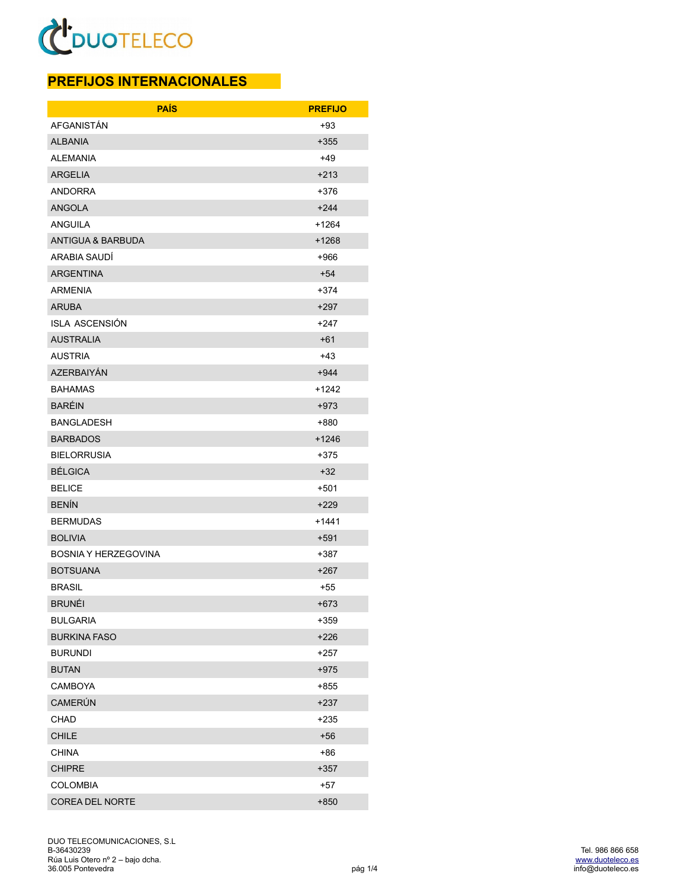#### **PREFIJOS INTERNACIONALES**

| <b>PAÍS</b>                  | <b>PREFIJO</b> |
|------------------------------|----------------|
| AFGANISTÁN                   | +93            |
| <b>ALBANIA</b>               | +355           |
| <b>ALEMANIA</b>              | $+49$          |
| <b>ARGELIA</b>               | $+213$         |
| <b>ANDORRA</b>               | +376           |
| <b>ANGOLA</b>                | $+244$         |
| <b>ANGUILA</b>               | +1264          |
| <b>ANTIGUA &amp; BARBUDA</b> | $+1268$        |
| ARABIA SAUDÍ                 | +966           |
| <b>ARGENTINA</b>             | $+54$          |
| <b>ARMENIA</b>               | +374           |
| <b>ARUBA</b>                 | $+297$         |
| <b>ISLA ASCENSIÓN</b>        | +247           |
| <b>AUSTRALIA</b>             | $+61$          |
| <b>AUSTRIA</b>               | +43            |
| AZERBAIYÁN                   | +944           |
| <b>BAHAMAS</b>               | +1242          |
| <b>BARÉIN</b>                | $+973$         |
| <b>BANGLADESH</b>            | +880           |
| <b>BARBADOS</b>              | +1246          |
| <b>BIELORRUSIA</b>           | +375           |
| <b>BÉLGICA</b>               | $+32$          |
| <b>BELICE</b>                | +501           |
| <b>BENÍN</b>                 | $+229$         |
| <b>BERMUDAS</b>              | +1441          |
| <b>BOLIVIA</b>               | $+591$         |
| <b>BOSNIA Y HERZEGOVINA</b>  | +387           |
| <b>BOTSUANA</b>              | $+267$         |
| <b>BRASIL</b>                | +55            |
| <b>BRUNÉI</b>                | $+673$         |
| <b>BULGARIA</b>              | +359           |
| <b>BURKINA FASO</b>          | $+226$         |
| <b>BURUNDI</b>               | $+257$         |
| <b>BUTAN</b>                 | $+975$         |
| CAMBOYA                      | +855           |
| CAMERÚN                      | +237           |
| CHAD                         | +235           |
| <b>CHILE</b>                 | $+56$          |
| <b>CHINA</b>                 | +86            |
| <b>CHIPRE</b>                | +357           |
| <b>COLOMBIA</b>              | $+57$          |
| COREA DEL NORTE              | $+850$         |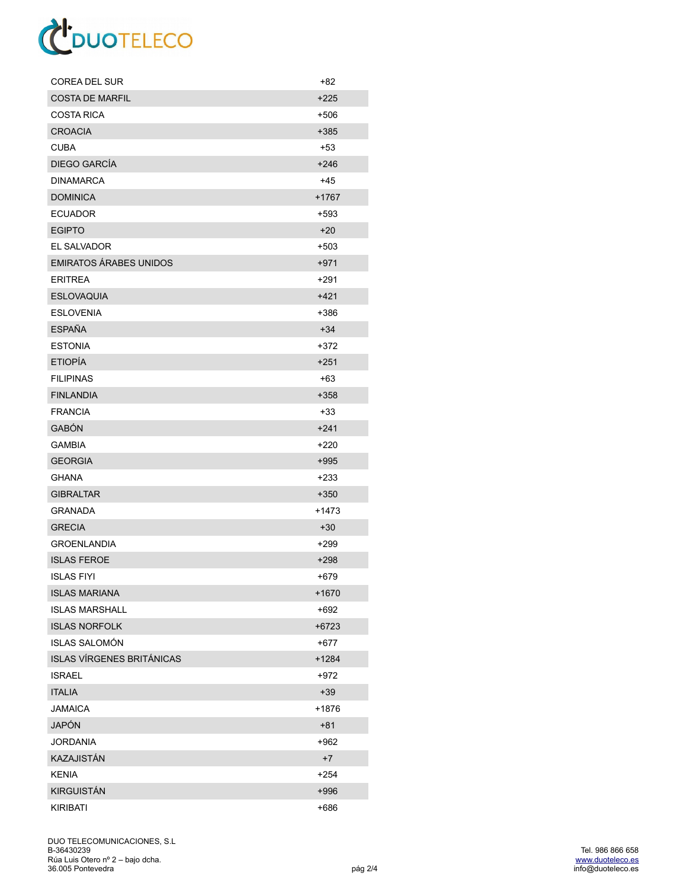| <b>COREA DEL SUR</b>             | +82     |
|----------------------------------|---------|
| <b>COSTA DE MARFIL</b>           | $+225$  |
| <b>COSTA RICA</b>                | +506    |
| <b>CROACIA</b>                   | +385    |
| <b>CUBA</b>                      | +53     |
| DIEGO GARCÍA                     | $+246$  |
| <b>DINAMARCA</b>                 | +45     |
| <b>DOMINICA</b>                  | $+1767$ |
| <b>ECUADOR</b>                   | $+593$  |
| <b>EGIPTO</b>                    | $+20$   |
| EL SALVADOR                      | +503    |
| <b>EMIRATOS ÁRABES UNIDOS</b>    | $+971$  |
| <b>ERITREA</b>                   | +291    |
| <b>ESLOVAQUIA</b>                | $+421$  |
| <b>ESLOVENIA</b>                 | +386    |
| <b>ESPAÑA</b>                    | $+34$   |
| <b>ESTONIA</b>                   | +372    |
| <b>ETIOPÍA</b>                   | $+251$  |
| <b>FILIPINAS</b>                 | $+63$   |
| <b>FINLANDIA</b>                 | $+358$  |
| <b>FRANCIA</b>                   | +33     |
| <b>GABÓN</b>                     | $+241$  |
| <b>GAMBIA</b>                    | +220    |
| <b>GEORGIA</b>                   | $+995$  |
| GHANA                            | +233    |
| <b>GIBRALTAR</b>                 | $+350$  |
| <b>GRANADA</b>                   | +1473   |
| <b>GRECIA</b>                    | $+30$   |
| <b>GROENLANDIA</b>               | +299    |
| <b>ISLAS FEROE</b>               | $+298$  |
| ISLAS FIYI                       | +679    |
| <b>ISLAS MARIANA</b>             | +1670   |
| <b>ISLAS MARSHALL</b>            | +692    |
| <b>ISLAS NORFOLK</b>             | $+6723$ |
| <b>ISLAS SALOMÓN</b>             | $+677$  |
| <b>ISLAS VÍRGENES BRITÁNICAS</b> | +1284   |
| <b>ISRAEL</b>                    | +972    |
| <b>ITALIA</b>                    | $+39$   |
| <b>JAMAICA</b>                   | +1876   |
| <b>JAPÓN</b>                     | $+81$   |
| <b>JORDANIA</b>                  | +962    |
| <b>KAZAJISTÁN</b>                | $+7$    |
| <b>KENIA</b>                     | $+254$  |
| <b>KIRGUISTÁN</b>                | +996    |
| <b>KIRIBATI</b>                  | $+686$  |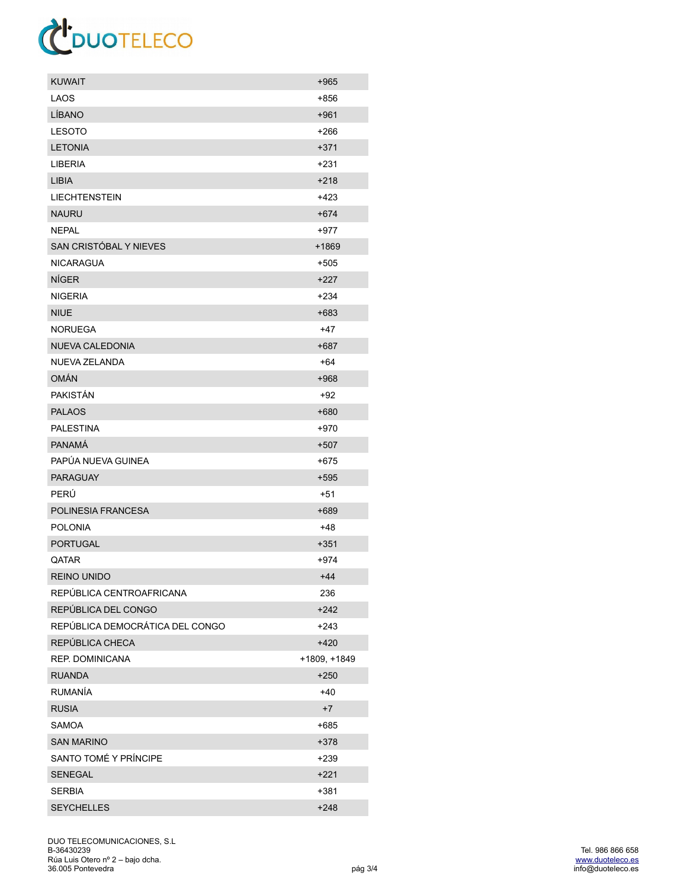| KUWAIT                          | $+965$       |
|---------------------------------|--------------|
| LAOS                            | +856         |
| LÍBANO                          | $+961$       |
| <b>LESOTO</b>                   | +266         |
| <b>LETONIA</b>                  | $+371$       |
| <b>LIBERIA</b>                  | +231         |
| <b>LIBIA</b>                    | $+218$       |
| <b>LIECHTENSTEIN</b>            | +423         |
| <b>NAURU</b>                    | $+674$       |
| <b>NEPAL</b>                    | +977         |
| SAN CRISTÓBAL Y NIEVES          | +1869        |
| <b>NICARAGUA</b>                | +505         |
| <b>NÍGER</b>                    | +227         |
| <b>NIGERIA</b>                  | $+234$       |
| <b>NIUE</b>                     | $+683$       |
| <b>NORUEGA</b>                  | +47          |
| NUEVA CALEDONIA                 | $+687$       |
| NUEVA ZELANDA                   | +64          |
| OMÁN                            | +968         |
| <b>PAKISTÁN</b>                 | $+92$        |
| <b>PALAOS</b>                   | +680         |
| <b>PALESTINA</b>                | +970         |
| <b>PANAMÁ</b>                   | $+507$       |
| PAPÚA NUEVA GUINEA              | +675         |
| <b>PARAGUAY</b>                 | +595         |
| PERÚ                            | +51          |
| POLINESIA FRANCESA              | +689         |
| <b>POLONIA</b>                  | +48          |
| <b>PORTUGAL</b>                 | $+351$       |
| <b>OATAR</b>                    | +974         |
| <b>REINO UNIDO</b>              | $+44$        |
| REPÚBLICA CENTROAFRICANA        | 236          |
| REPÚBLICA DEL CONGO             | $+242$       |
| REPÚBLICA DEMOCRÁTICA DEL CONGO | +243         |
| REPÚBLICA CHECA                 | $+420$       |
| REP. DOMINICANA                 | +1809, +1849 |
| <b>RUANDA</b>                   | +250         |
| <b>RUMANÍA</b>                  | +40          |
| <b>RUSIA</b>                    | $+7$         |
| SAMOA                           | +685         |
| <b>SAN MARINO</b>               | +378         |
| SANTO TOMÉ Y PRÍNCIPE           | $+239$       |
| <b>SENEGAL</b>                  | +221         |
| <b>SERBIA</b>                   | $+381$       |
| <b>SEYCHELLES</b>               | $+248$       |